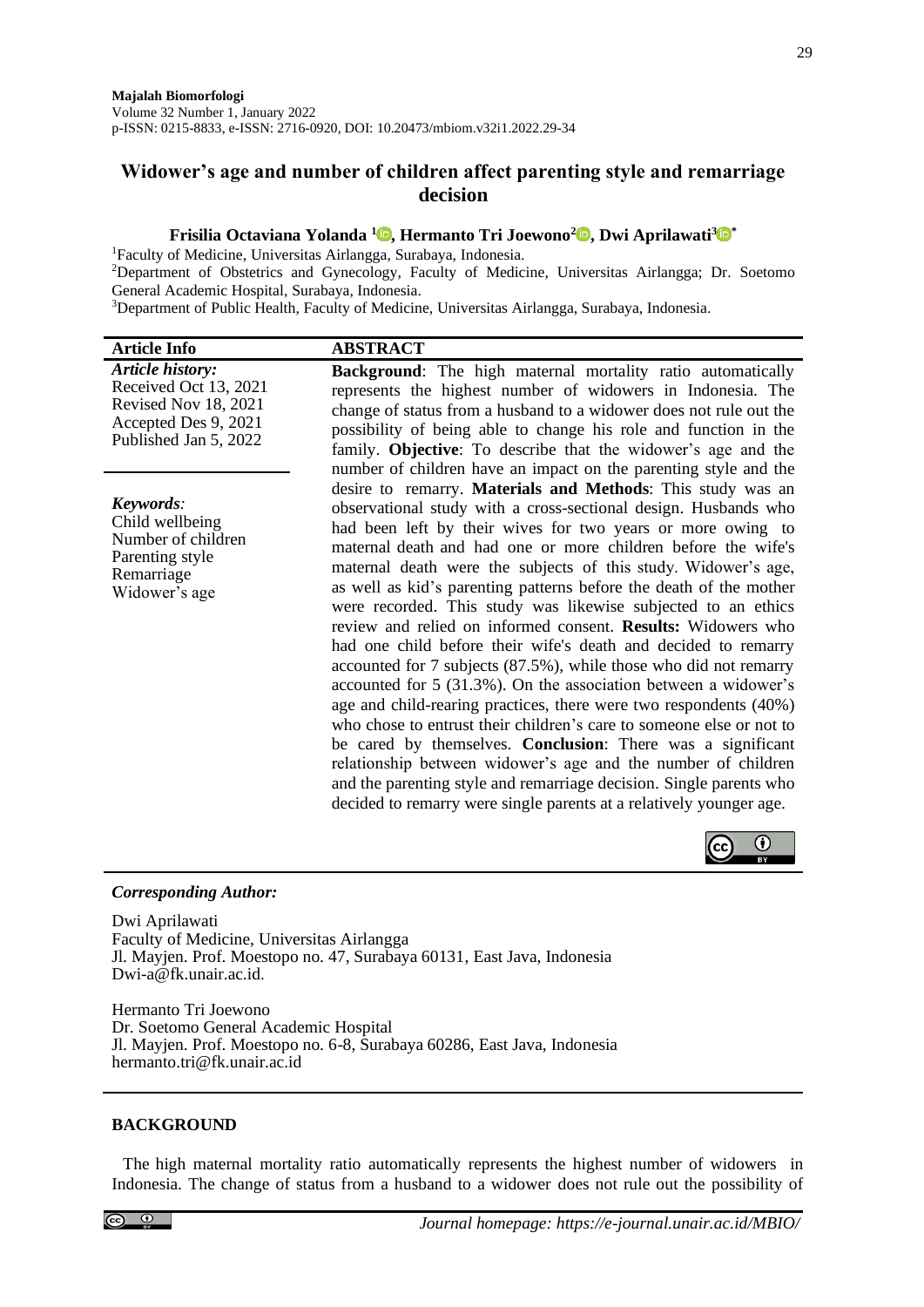# **Widower's age and number of children affect parenting style and remarriage decision**

### **Frisilia Octaviana Yolanda <sup>1</sup> [,](https://orcid.org/0000-0003-3004-9035) Hermanto Tri Joewono<sup>2</sup> [,](https://orcid.org/0000-0003-4943-6369) Dwi Aprilawati[3](https://orcid.org/0000-0003-3004-9035) \***

<sup>1</sup>Faculty of Medicine, Universitas Airlangga, Surabaya, Indonesia.

<sup>2</sup>Department of Obstetrics and Gynecology, Faculty of Medicine, Universitas Airlangga; Dr. Soetomo General Academic Hospital, Surabaya, Indonesia.

<sup>3</sup>Department of Public Health, Faculty of Medicine, Universitas Airlangga, Surabaya, Indonesia.

| <b>Article Info</b>                                                                                                       | <b>ABSTRACT</b>                                                                                                                                                                                                                                                                                                                                                                                                                                                                                                                                                                                                                                                                                                                                                                                                                                                                                                                                                                                                                                                                                                                                                              |
|---------------------------------------------------------------------------------------------------------------------------|------------------------------------------------------------------------------------------------------------------------------------------------------------------------------------------------------------------------------------------------------------------------------------------------------------------------------------------------------------------------------------------------------------------------------------------------------------------------------------------------------------------------------------------------------------------------------------------------------------------------------------------------------------------------------------------------------------------------------------------------------------------------------------------------------------------------------------------------------------------------------------------------------------------------------------------------------------------------------------------------------------------------------------------------------------------------------------------------------------------------------------------------------------------------------|
| <b>Article history:</b><br>Received Oct 13, 2021<br>Revised Nov 18, 2021<br>Accepted Des 9, 2021<br>Published Jan 5, 2022 | <b>Background:</b> The high maternal mortality ratio automatically<br>represents the highest number of widowers in Indonesia. The<br>change of status from a husband to a widower does not rule out the<br>possibility of being able to change his role and function in the<br>family. Objective: To describe that the widower's age and the<br>number of children have an impact on the parenting style and the                                                                                                                                                                                                                                                                                                                                                                                                                                                                                                                                                                                                                                                                                                                                                             |
| Keywords:<br>Child wellbeing<br>Number of children<br>Parenting style<br>Remarriage<br>Widower's age                      | desire to remarry. Materials and Methods: This study was an<br>observational study with a cross-sectional design. Husbands who<br>had been left by their wives for two years or more owing to<br>maternal death and had one or more children before the wife's<br>maternal death were the subjects of this study. Widower's age,<br>as well as kid's parenting patterns before the death of the mother<br>were recorded. This study was likewise subjected to an ethics<br>review and relied on informed consent. Results: Widowers who<br>had one child before their wife's death and decided to remarry<br>accounted for 7 subjects (87.5%), while those who did not remarry<br>accounted for 5 (31.3%). On the association between a widower's<br>age and child-rearing practices, there were two respondents (40%)<br>who chose to entrust their children's care to someone else or not to<br>be cared by themselves. Conclusion: There was a significant<br>relationship between widower's age and the number of children<br>and the parenting style and remarriage decision. Single parents who<br>decided to remarry were single parents at a relatively younger age. |

#### $\odot$  $\left(\mathrm{cc}\right)$

#### *Corresponding Author:*

Dwi Aprilawati Faculty of Medicine, Universitas Airlangga Jl. Mayjen. Prof. Moestopo no. 47, Surabaya 60131, East Java, Indonesia Dwi-a@fk.unair.ac.id.

Hermanto Tri Joewono Dr. Soetomo General Academic Hospital Jl. Mayjen. Prof. Moestopo no. 6-8, Surabaya 60286, East Java, Indonesia hermanto.tri@fk.unair.ac.id

#### **BACKGROUND**

The high maternal mortality ratio automatically represents the highest number of widowers in Indonesia. The change of status from a husband to a widower does not rule out the possibility of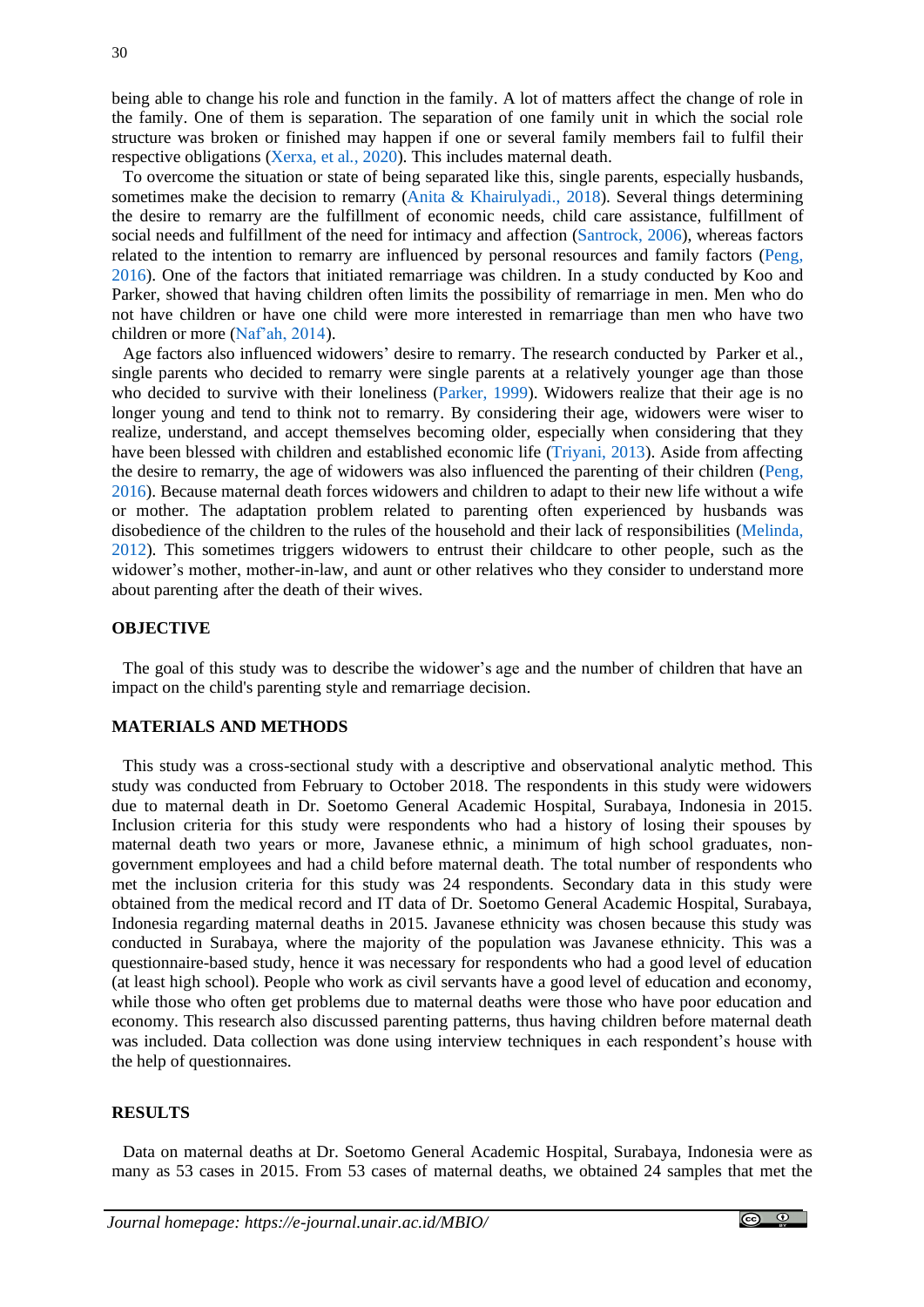being able to change his role and function in the family. A lot of matters affect the change of role in the family. One of them is separation. The separation of one family unit in which the social role structure was broken or finished may happen if one or several family members fail to fulfil their respective obligations [\(Xerxa, et al](#page-5-0)*.*, 2020). This includes maternal death.

To overcome the situation or state of being separated like this, single parents, especially husbands, sometimes make the decision to remarry [\(Anita & Khairulyadi.,](#page-4-0) 2018). Several things determining the desire to remarry are the fulfillment of economic needs, child care assistance, fulfillment of social needs and fulfillment of the need for intimacy and affection [\(Santrock, 2006\)](#page-5-1), whereas factors related to the intention to remarry are influenced by personal resources and family factors [\(Peng,](#page-4-1)  [2016\)](#page-4-1). One of the factors that initiated remarriage was children. In a study conducted by Koo and Parker, showed that having children often limits the possibility of remarriage in men. Men who do not have children or have one child were more interested in remarriage than men who have two children or more [\(Naf'ah, 2014\)](#page-4-2).

Age factors also influenced widowers' desire to remarry. The research conducted by Parker et al*.*, single parents who decided to remarry were single parents at a relatively younger age than those who decided to survive with their loneliness [\(Parker, 1999\)](#page-4-3). Widowers realize that their age is no longer young and tend to think not to remarry. By considering their age, widowers were wiser to realize, understand, and accept themselves becoming older, especially when considering that they have been blessed with children and established economic life [\(Triyani, 2013\)](#page-5-2). Aside from affecting the desire to remarry, the age of widowers was also influenced the parenting of their children [\(Peng,](#page-4-1)  [2016\)](#page-4-1). Because maternal death forces widowers and children to adapt to their new life without a wife or mother. The adaptation problem related to parenting often experienced by husbands was disobedience of the children to the rules of the household and their lack of responsibilities [\(Melinda,](#page-4-4)  [2012\)](#page-4-4). This sometimes triggers widowers to entrust their childcare to other people, such as the widower's mother, mother-in-law, and aunt or other relatives who they consider to understand more about parenting after the death of their wives.

#### **OBJECTIVE**

The goal of this study was to describe the widower's age and the number of children that have an impact on the child's parenting style and remarriage decision.

### **MATERIALS AND METHODS**

This study was a cross-sectional study with a descriptive and observational analytic method. This study was conducted from February to October 2018. The respondents in this study were widowers due to maternal death in Dr. Soetomo General Academic Hospital, Surabaya, Indonesia in 2015. Inclusion criteria for this study were respondents who had a history of losing their spouses by maternal death two years or more, Javanese ethnic, a minimum of high school graduates, nongovernment employees and had a child before maternal death. The total number of respondents who met the inclusion criteria for this study was 24 respondents. Secondary data in this study were obtained from the medical record and IT data of Dr. Soetomo General Academic Hospital, Surabaya, Indonesia regarding maternal deaths in 2015. Javanese ethnicity was chosen because this study was conducted in Surabaya, where the majority of the population was Javanese ethnicity. This was a questionnaire-based study, hence it was necessary for respondents who had a good level of education (at least high school). People who work as civil servants have a good level of education and economy, while those who often get problems due to maternal deaths were those who have poor education and economy. This research also discussed parenting patterns, thus having children before maternal death was included. Data collection was done using interview techniques in each respondent's house with the help of questionnaires.

## **RESULTS**

Data on maternal deaths at Dr. Soetomo General Academic Hospital, Surabaya, Indonesia were as many as 53 cases in 2015. From 53 cases of maternal deaths, we obtained 24 samples that met the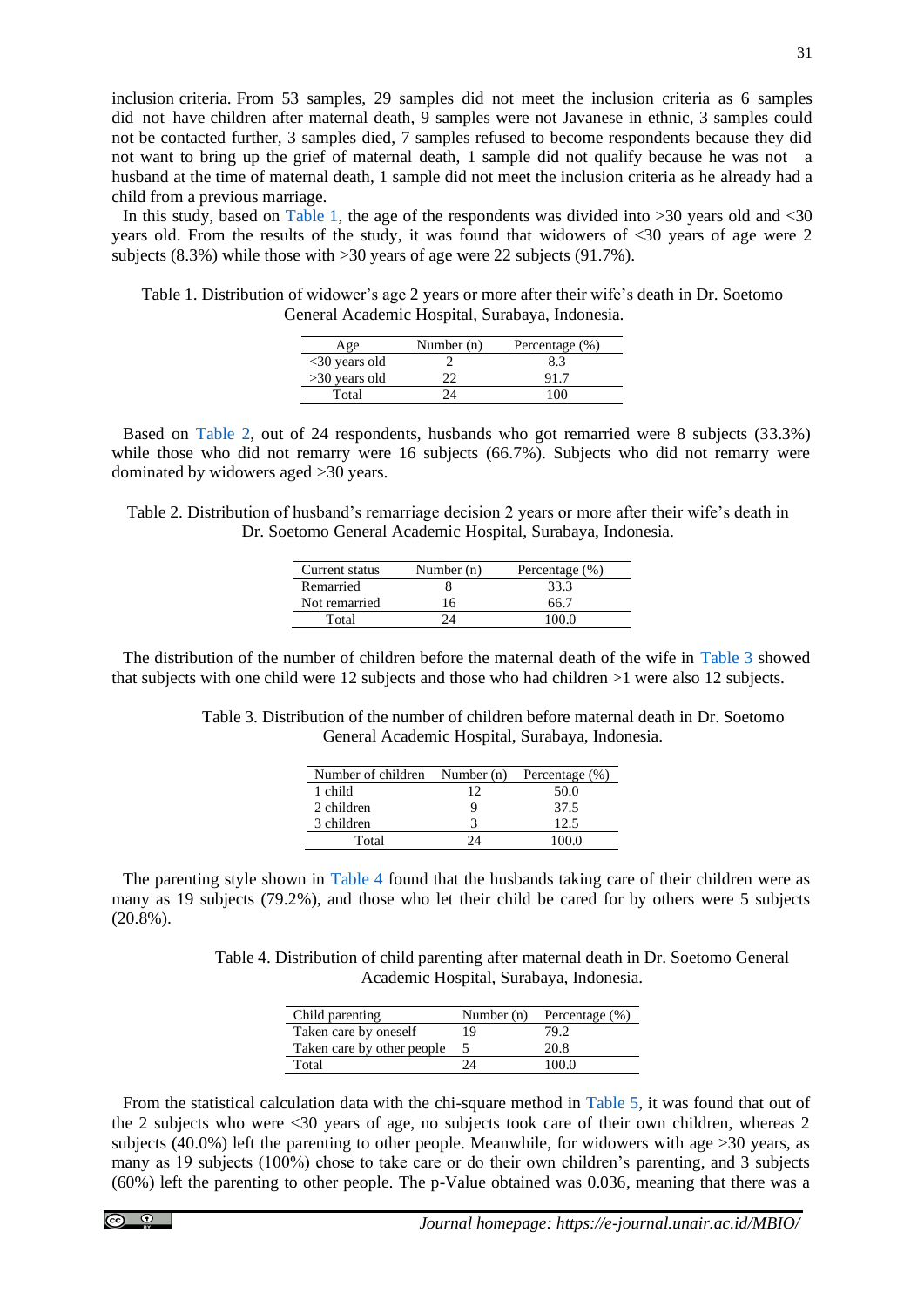inclusion criteria. From 53 samples, 29 samples did not meet the inclusion criteria as 6 samples did not have children after maternal death, 9 samples were not Javanese in ethnic, 3 samples could not be contacted further, 3 samples died, 7 samples refused to become respondents because they did not want to bring up the grief of maternal death, 1 sample did not qualify because he was not a husband at the time of maternal death, 1 sample did not meet the inclusion criteria as he already had a child from a previous marriage.

In this study, based on [Table 1,](#page-2-0) the age of the respondents was divided into  $>30$  years old and  $<30$ years old. From the results of the study, it was found that widowers of <30 years of age were 2 subjects (8.3%) while those with >30 years of age were 22 subjects (91.7%).

<span id="page-2-0"></span>Table 1. Distribution of widower's age 2 years or more after their wife's death in Dr. Soetomo General Academic Hospital, Surabaya, Indonesia.

| Age              | Number $(n)$ | Percentage (%) |
|------------------|--------------|----------------|
| $<$ 30 years old |              | 8.3            |
| $>30$ years old  |              | 91.7           |
| Total            |              | ഥ              |

Based on [Table 2,](#page-2-1) out of 24 respondents, husbands who got remarried were 8 subjects (33.3%) while those who did not remarry were 16 subjects (66.7%). Subjects who did not remarry were dominated by widowers aged >30 years.

<span id="page-2-1"></span>Table 2. Distribution of husband's remarriage decision 2 years or more after their wife's death in Dr. Soetomo General Academic Hospital, Surabaya, Indonesia.

| Current status | Number $(n)$ | Percentage (%) |
|----------------|--------------|----------------|
| Remarried      |              | 33.3           |
| Not remarried  | 16           | 66.7           |
| Total          | 24           | 100 O          |

<span id="page-2-2"></span>The distribution of the number of children before the maternal death of the wife in [Table 3](#page-2-2) showed that subjects with one child were 12 subjects and those who had children >1 were also 12 subjects.

> Table 3. Distribution of the number of children before maternal death in Dr. Soetomo General Academic Hospital, Surabaya, Indonesia.

| Number of children | Number $(n)$ | Percentage (%) |
|--------------------|--------------|----------------|
| 1 child            | 12           | 50.0           |
| 2 children         | Q            | 37.5           |
| 3 children         |              | 12.5           |
| Total              | 24           | 100 O          |

<span id="page-2-3"></span>The parenting style shown in [Table 4](#page-2-3) found that the husbands taking care of their children were as many as 19 subjects (79.2%), and those who let their child be cared for by others were 5 subjects (20.8%).

> Table 4. Distribution of child parenting after maternal death in Dr. Soetomo General Academic Hospital, Surabaya, Indonesia.

| Child parenting            | Number $(n)$ | Percentage (%) |
|----------------------------|--------------|----------------|
| Taken care by oneself      | 19           | 79.2           |
| Taken care by other people | 5            | 20.8           |
| Total                      |              | 100.0          |

From the statistical calculation data with the chi-square method in [Table 5,](#page-3-0) it was found that out of the 2 subjects who were <30 years of age, no subjects took care of their own children, whereas 2 subjects (40.0%) left the parenting to other people. Meanwhile, for widowers with age >30 years, as many as 19 subjects (100%) chose to take care or do their own children's parenting, and 3 subjects (60%) left the parenting to other people. The p-Value obtained was 0.036, meaning that there was a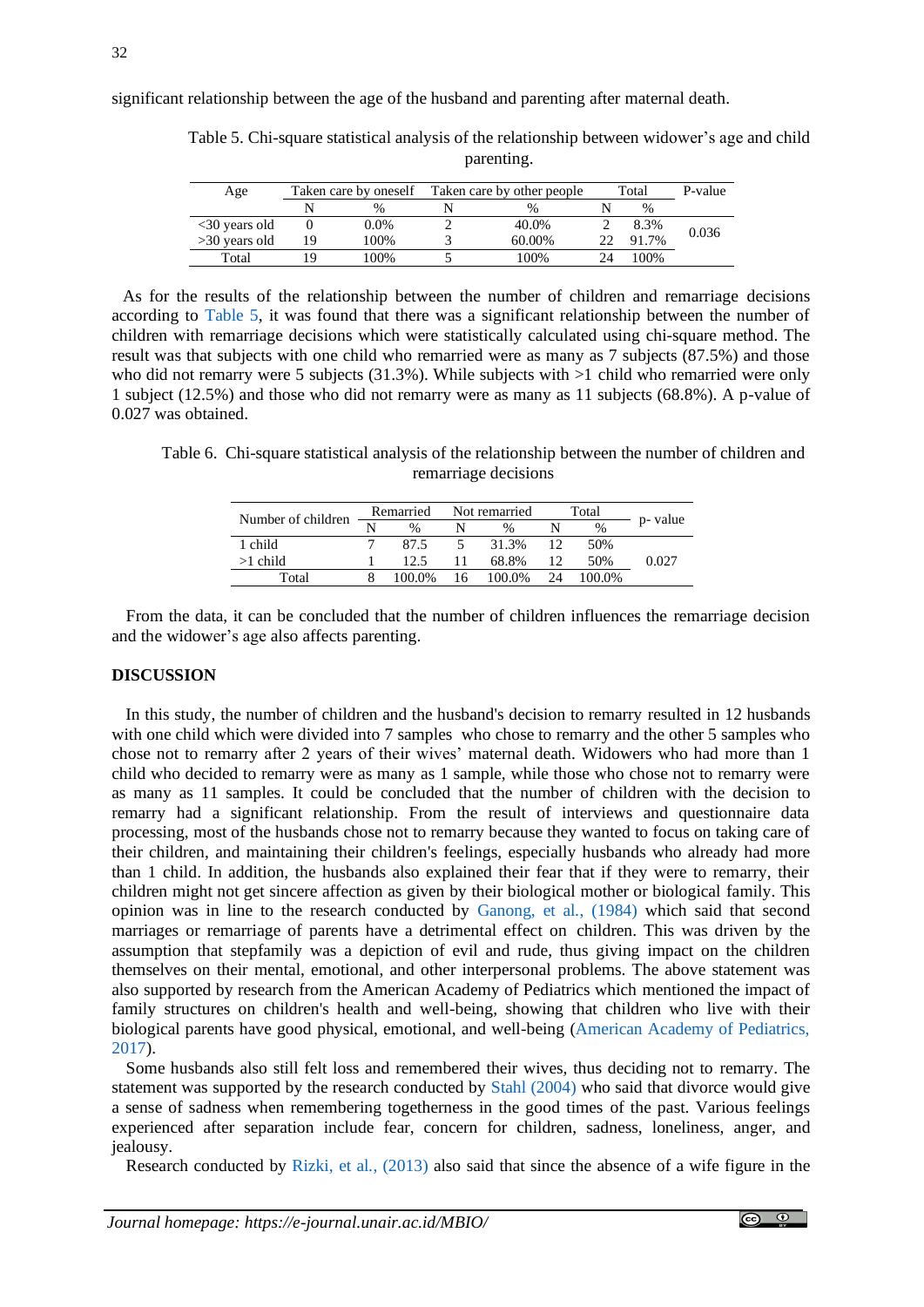<span id="page-3-0"></span>significant relationship between the age of the husband and parenting after maternal death.

| Age             | Taken care by oneself |               | Taken care by other people |               | Total |               | P-value |
|-----------------|-----------------------|---------------|----------------------------|---------------|-------|---------------|---------|
|                 |                       | $\frac{0}{0}$ |                            | $\frac{0}{0}$ |       | $\frac{0}{0}$ |         |
| $<30$ years old |                       | $0.0\%$       |                            | 40.0%         |       | 8.3%          | 0.036   |
| $>30$ years old | 19                    | 100%          |                            | 60.00%        |       | 91.7%         |         |
| Total           | 1 Q                   | 100%          |                            | 100%          |       | 100%          |         |

Table 5. Chi-square statistical analysis of the relationship between widower's age and child parenting.

As for the results of the relationship between the number of children and remarriage decisions according to [Table 5,](#page-3-0) it was found that there was a significant relationship between the number of children with remarriage decisions which were statistically calculated using chi-square method. The result was that subjects with one child who remarried were as many as 7 subjects (87.5%) and those who did not remarry were 5 subjects (31.3%). While subjects with  $>1$  child who remarried were only 1 subject (12.5%) and those who did not remarry were as many as 11 subjects (68.8%). A p-value of 0.027 was obtained.

Table 6. Chi-square statistical analysis of the relationship between the number of children and remarriage decisions

|                    | Remarried |               | Not remarried |        | Total |        |          |
|--------------------|-----------|---------------|---------------|--------|-------|--------|----------|
| Number of children |           | $\frac{0}{0}$ |               | $\%$   |       | $\%$   | p- value |
| 1 child            |           | 87.5          |               | 31.3%  |       | 50%    |          |
| $>1$ child         |           | 12.5          |               | 68.8%  |       | 50%    | 0.027    |
| Total              |           | 100.0%        | 16            | 100.0% | 24    | 100.0% |          |
|                    |           |               |               |        |       |        |          |

From the data, it can be concluded that the number of children influences the remarriage decision and the widower's age also affects parenting.

#### **DISCUSSION**

In this study, the number of children and the husband's decision to remarry resulted in 12 husbands with one child which were divided into 7 samples who chose to remarry and the other 5 samples who chose not to remarry after 2 years of their wives' maternal death. Widowers who had more than 1 child who decided to remarry were as many as 1 sample, while those who chose not to remarry were as many as 11 samples. It could be concluded that the number of children with the decision to remarry had a significant relationship. From the result of interviews and questionnaire data processing, most of the husbands chose not to remarry because they wanted to focus on taking care of their children, and maintaining their children's feelings, especially husbands who already had more than 1 child. In addition, the husbands also explained their fear that if they were to remarry, their children might not get sincere affection as given by their biological mother or biological family. This opinion was in line to the research conducted by [Ganong, et al](#page-4-5)*.*, (1984) which said that second marriages or remarriage of parents have a detrimental effect on children. This was driven by the assumption that stepfamily was a depiction of evil and rude, thus giving impact on the children themselves on their mental, emotional, and other interpersonal problems. The above statement was also supported by research from the American Academy of Pediatrics which mentioned the impact of family structures on children's health and well-being, showing that children who live with their biological parents have good physical, emotional, and well-being [\(American Academy of Pediatrics,](#page-4-6)  [2017\)](#page-4-6).

Some husbands also still felt loss and remembered their wives, thus deciding not to remarry. The statement was supported by the research conducted by [Stahl \(2004\)](#page-5-3) who said that divorce would give a sense of sadness when remembering togetherness in the good times of the past. Various feelings experienced after separation include fear, concern for children, sadness, loneliness, anger, and jealousy.

Research conducted by [Rizki, et al](#page-5-4)*.*, (2013) also said that since the absence of a wife figure in the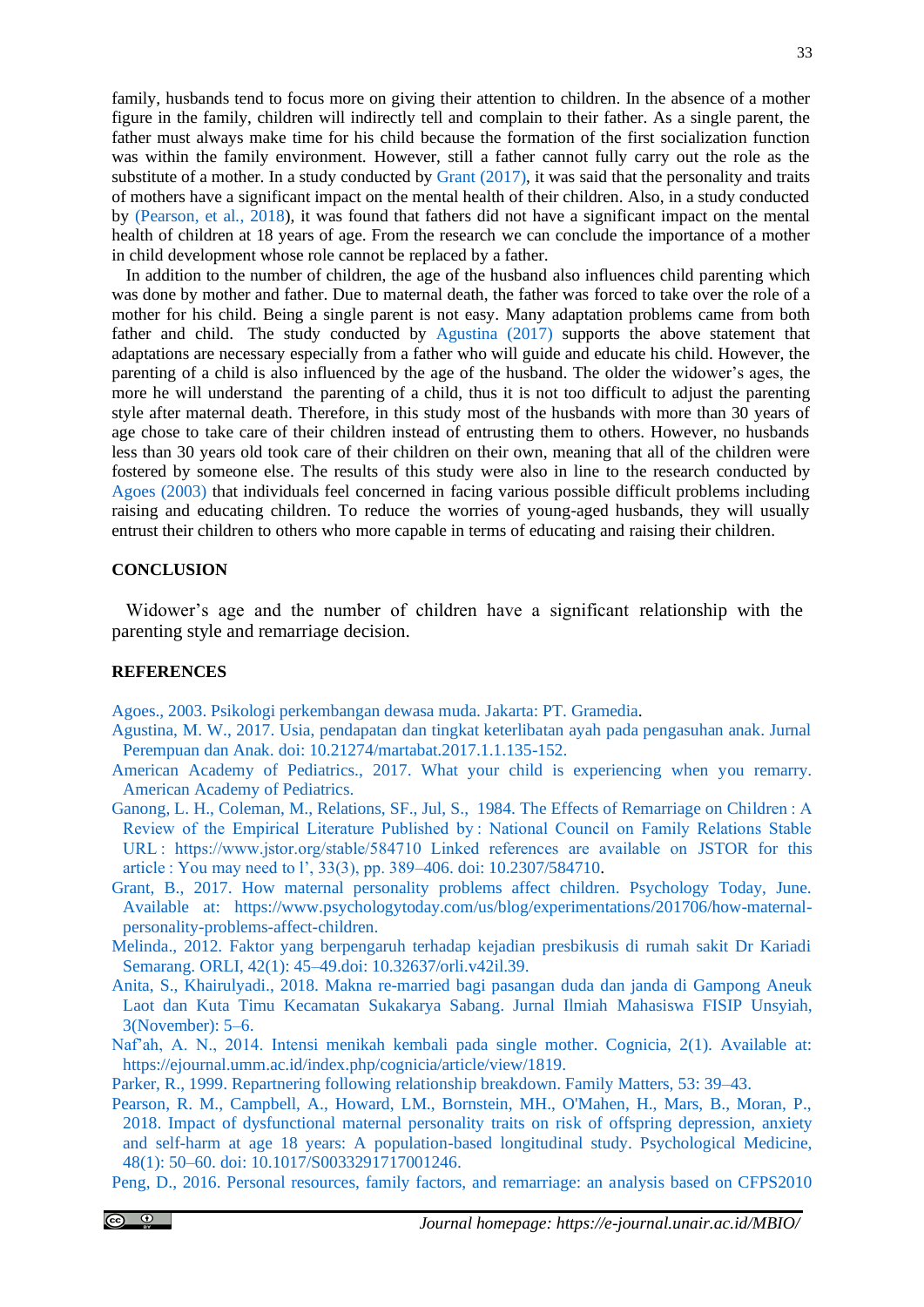33

family, husbands tend to focus more on giving their attention to children. In the absence of a mother figure in the family, children will indirectly tell and complain to their father. As a single parent, the father must always make time for his child because the formation of the first socialization function was within the family environment. However, still a father cannot fully carry out the role as the substitute of a mother. In a study conducted by [Grant \(2017\),](#page-4-7) it was said that the personality and traits of mothers have a significant impact on the mental health of their children. Also, in a study conducted by [\(Pearson, et al](#page-4-8)*.*, 2018), it was found that fathers did not have a significant impact on the mental health of children at 18 years of age. From the research we can conclude the importance of a mother in child development whose role cannot be replaced by a father.

In addition to the number of children, the age of the husband also influences child parenting which was done by mother and father. Due to maternal death, the father was forced to take over the role of a mother for his child. Being a single parent is not easy. Many adaptation problems came from both father and child. The study conducted by [Agustina \(2017\)](#page-4-9) supports the above statement that adaptations are necessary especially from a father who will guide and educate his child. However, the parenting of a child is also influenced by the age of the husband. The older the widower's ages, the more he will understand the parenting of a child, thus it is not too difficult to adjust the parenting style after maternal death. Therefore, in this study most of the husbands with more than 30 years of age chose to take care of their children instead of entrusting them to others. However, no husbands less than 30 years old took care of their children on their own, meaning that all of the children were fostered by someone else. The results of this study were also in line to the research conducted by [Agoes \(2003\)](#page-4-10) that individuals feel concerned in facing various possible difficult problems including raising and educating children. To reduce the worries of young-aged husbands, they will usually entrust their children to others who more capable in terms of educating and raising their children.

## **CONCLUSION**

Widower's age and the number of children have a significant relationship with the parenting style and remarriage decision.

## **REFERENCES**

<span id="page-4-10"></span>[Agoes., 2003. Psikologi perkembangan dewasa muda. Jakarta: PT. Gramedia.](http://lib.stikes-mw.id/wp-content/uploads/2020/06/PSIKOLOGI-PERKEMBANGAN.pdf)

- <span id="page-4-9"></span>[Agustina, M. W., 2017. Usia, pendapatan dan tingkat keterlibatan ayah pada pengasuhan anak. Jurnal](http://ejournal.iain-tulungagung.ac.id/index.php/martabat/article/view/907)  [Perempuan dan Anak. doi: 10.21274/martabat.2017.1.1.135-152.](http://ejournal.iain-tulungagung.ac.id/index.php/martabat/article/view/907)
- <span id="page-4-6"></span>[American Academy of Pediatrics., 2017. What your child is experiencing when you remarry.](https://www.healthychildren.org/English/family-life/family-dynamics/types-of-families/Pages/What-Your-Child-is-Experiencing-When-You-Remarry.aspx)  [American Academy of Pediatrics.](https://www.healthychildren.org/English/family-life/family-dynamics/types-of-families/Pages/What-Your-Child-is-Experiencing-When-You-Remarry.aspx)
- <span id="page-4-5"></span>[Ganong, L. H., Coleman, M., Relations, SF., Jul, S., 1984. The Effects of Remarriage on Children : A](../Ganong,%20L.%20H.,%20Coleman,%20M.,%20Relations,%20SF.,%20Jul,%20S.,%20%201984.%20The%20Effects%20of%20Remarriage%20on%20Children :%20A%20Review%20of%20the%20Empirical%20Literature%20Published%20by :%20National%20Council%20on%20Family%20Relations%20Stable%20URL :%20https:/www.jstor.org/stable/584710%20Linked%20references%20are%20available%20on%20JSTOR%20for%20this%20article :%20You%20may%20need%20to%20l’,%2033(3),%20pp.%20389–406.%20doi:%2010.2307/584710)  [Review of the Empirical Literature Published by : National Council on Family Relations Stable](../Ganong,%20L.%20H.,%20Coleman,%20M.,%20Relations,%20SF.,%20Jul,%20S.,%20%201984.%20The%20Effects%20of%20Remarriage%20on%20Children :%20A%20Review%20of%20the%20Empirical%20Literature%20Published%20by :%20National%20Council%20on%20Family%20Relations%20Stable%20URL :%20https:/www.jstor.org/stable/584710%20Linked%20references%20are%20available%20on%20JSTOR%20for%20this%20article :%20You%20may%20need%20to%20l’,%2033(3),%20pp.%20389–406.%20doi:%2010.2307/584710)  URL : https://www.jstor.org/stable/584710 Linked references are available on JSTOR for this [article : You may need to l', 33\(3\), pp. 389–406.](../Ganong,%20L.%20H.,%20Coleman,%20M.,%20Relations,%20SF.,%20Jul,%20S.,%20%201984.%20The%20Effects%20of%20Remarriage%20on%20Children :%20A%20Review%20of%20the%20Empirical%20Literature%20Published%20by :%20National%20Council%20on%20Family%20Relations%20Stable%20URL :%20https:/www.jstor.org/stable/584710%20Linked%20references%20are%20available%20on%20JSTOR%20for%20this%20article :%20You%20may%20need%20to%20l’,%2033(3),%20pp.%20389–406.%20doi:%2010.2307/584710) doi: 10.2307/584710.
- <span id="page-4-7"></span>[Grant, B., 2017. How maternal personality problems affect children. Psychology Today, June.](../Grant,%20B.,%202017.%20How%20maternal%20personality%20problems%20affect%20children.%20Psychology%20Today,%20June.%20Available%20at:%20https:/www.psychologytoday.com/us/blog/experimentations/201706/how-maternal-personality-problems-affect-children.)  [Available at: https://www.psychologytoday.com/us/blog/experimentations/201706/how-maternal](../Grant,%20B.,%202017.%20How%20maternal%20personality%20problems%20affect%20children.%20Psychology%20Today,%20June.%20Available%20at:%20https:/www.psychologytoday.com/us/blog/experimentations/201706/how-maternal-personality-problems-affect-children.)[personality-problems-affect-children.](../Grant,%20B.,%202017.%20How%20maternal%20personality%20problems%20affect%20children.%20Psychology%20Today,%20June.%20Available%20at:%20https:/www.psychologytoday.com/us/blog/experimentations/201706/how-maternal-personality-problems-affect-children.)
- <span id="page-4-4"></span>[Melinda., 2012. Faktor yang berpengaruh terhadap kejadian presbikusis di rumah sakit Dr Kariadi](http://orli.or.id/index.php/orli/article/view/39/0)  [Semarang. ORLI, 42\(1\): 45–49.doi: 10.32637/orli.v42il.39.](http://orli.or.id/index.php/orli/article/view/39/0)
- <span id="page-4-0"></span>[Anita, S., Khairulyadi., 2018. Makna re-married bagi pasangan duda dan janda di Gampong Aneuk](http://jim.unsyiah.ac.id/FISIP/article/view/7054)  [Laot dan Kuta Timu Kecamatan Sukakarya Sabang. Jurnal Ilmiah Mahasiswa FISIP Unsyiah,](http://jim.unsyiah.ac.id/FISIP/article/view/7054)  [3\(November\): 5–6.](http://jim.unsyiah.ac.id/FISIP/article/view/7054)
- <span id="page-4-2"></span>[Naf'ah, A. N., 2014. Intensi menikah kembali pada single](../Naf’ah,%20A.%20N.,%202014.%20Intensi%20menikah%20kembali%20pada%20single%20mother.%20Cognicia,%202(1).%20Available%20at:%20https:/ejournal.umm.ac.id/index.php/cognicia/article/view/1819.) mother. Cognicia, 2(1). Available at: [https://ejournal.umm.ac.id/index.php/cognicia/article/view/1819.](../Naf’ah,%20A.%20N.,%202014.%20Intensi%20menikah%20kembali%20pada%20single%20mother.%20Cognicia,%202(1).%20Available%20at:%20https:/ejournal.umm.ac.id/index.php/cognicia/article/view/1819.)
- <span id="page-4-3"></span>[Parker, R., 1999. Repartnering following relationship breakdown. Family Matters, 53: 39–43.](https://citeseerx.ist.psu.edu/viewdoc/download?doi=10.1.1.587.6313&rep=rep1&type=pdf)
- <span id="page-4-8"></span>[Pearson, R. M., Campbell, A., Howard, LM., Bornstein, MH., O'Mahen, H., Mars, B., Moran, P.,](https://pubmed.ncbi.nlm.nih.gov/28583221/)  [2018. Impact of dysfunctional maternal personality traits on risk of offspring depression, anxiety](https://pubmed.ncbi.nlm.nih.gov/28583221/)  [and self-harm at age 18 years: A population-based longitudinal study. Psychological Medicine,](https://pubmed.ncbi.nlm.nih.gov/28583221/)  [48\(1\): 50–60. doi: 10.1017/S0033291717001246.](https://pubmed.ncbi.nlm.nih.gov/28583221/)

<span id="page-4-1"></span>[Peng, D., 2016. Personal resources, family factors, and remarriage: an analysis based on CFPS2010](https://journalofchinesesociology.springeropen.com/articles/10.1186/s40711-015-0023-9)